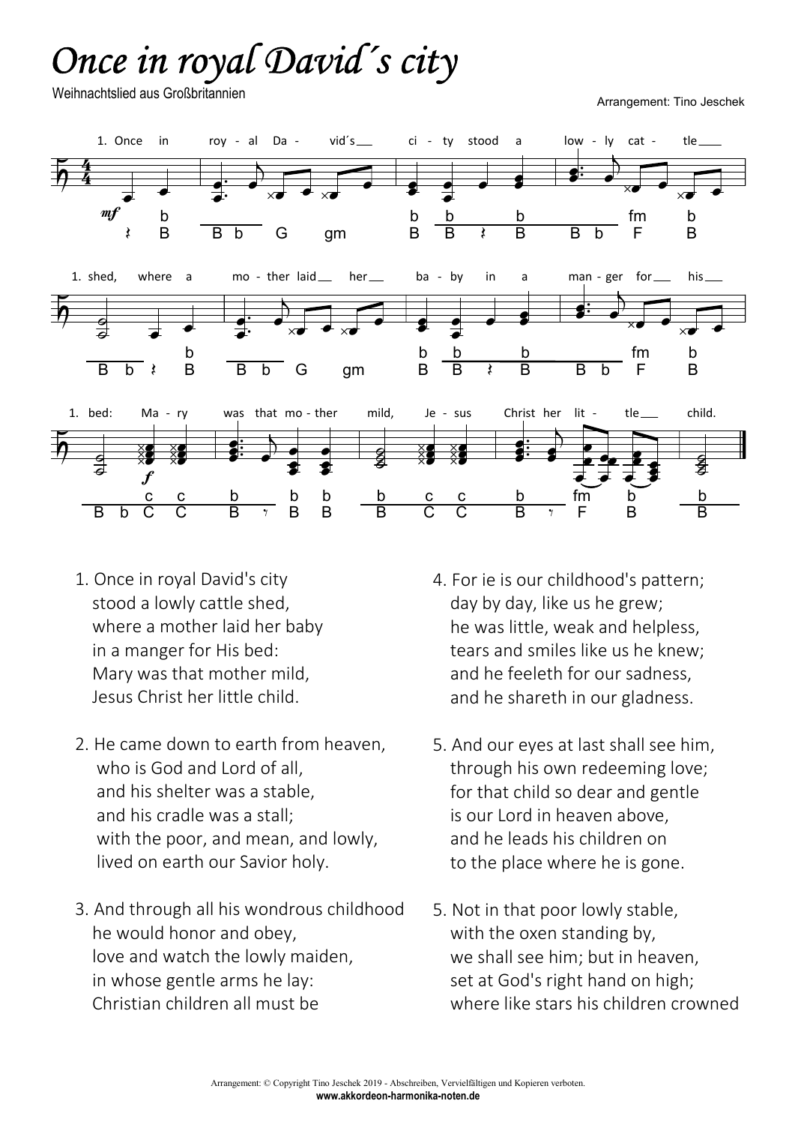## Once in royal David´s city

Weihnachtslied aus Großbritannien

Arrangement: Tino Jeschek



- 1. Once in royal David's city stood a lowly cattle shed, where a mother laid her baby in a manger for His bed: Mary was that mother mild, Jesus Christ her little child.
- 2. He came down to earth from heaven, who is God and Lord of all. and his shelter was a stable, and his cradle was a stall; with the poor, and mean, and lowly, lived on earth our Savior holy.
- 3. And through all his wondrous childhood he would honor and obey, love and watch the lowly maiden, in whose gentle arms he lay: Christian children all must be
- 4. For ie is our childhood's pattern; day by day, like us he grew; he was little, weak and helpless, tears and smiles like us he knew; and he feeleth for our sadness, and he shareth in our gladness.
- 5. And our eyes at last shall see him, through his own redeeming love; for that child so dear and gentle is our Lord in heaven above, and he leads his children on to the place where he is gone.
- 5. Not in that poor lowly stable, with the oxen standing by, we shall see him; but in heaven, set at God's right hand on high; where like stars his children crowned